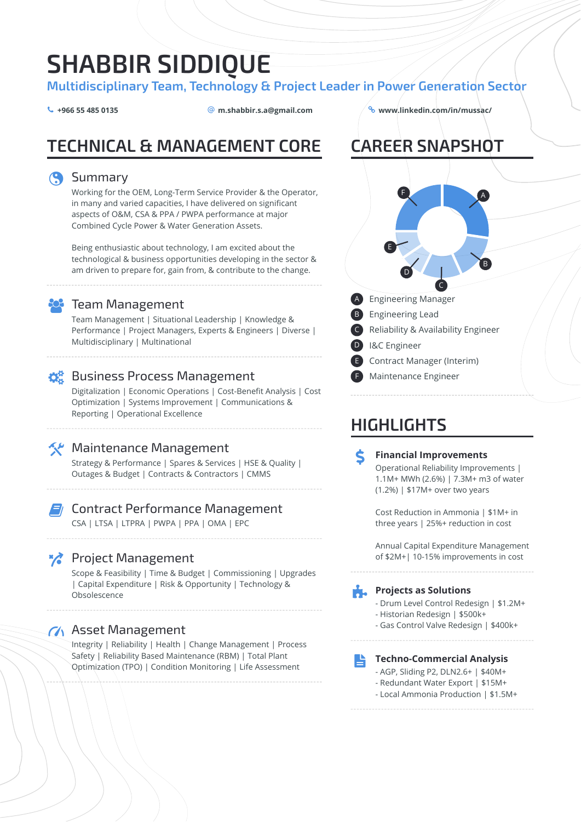# **SHABBIR SIDDIQUE**

**Multidisciplinary Team, Technology & Project Leader in Power Generation Sector**

 $\leftarrow$  +966 55 485 0135  $\qquad \qquad \textcircled{a}$  m.shabbir.s.a@gmail.com

# **TECHNICAL & MANAGEMENT CORE**

### **Summary**

Working for the OEM, Long-Term Service Provider & the Operator, in many and varied capacities, I have delivered on significant aspects of O&M, CSA & PPA / PWPA performance at major Combined Cycle Power & Water Generation Assets.

Being enthusiastic about technology, I am excited about the technological & business opportunities developing in the sector & am driven to prepare for, gain from, & contribute to the change.



## **R** Team Management

Team Management | Situational Leadership | Knowledge & Performance | Project Managers, Experts & Engineers | Diverse | Multidisciplinary | Multinational

# $\mathbf{\Omega}^{\text{B}}_{\text{B}}$  Business Process Management

Digitalization | Economic Operations | Cost-Benefit Analysis | Cost Optimization | Systems Improvement | Communications & Reporting | Operational Excellence



### **X** Maintenance Management

Strategy & Performance | Spares & Services | HSE & Quality | Outages & Budget | Contracts & Contractors | CMMS

lige og den kant og den kant og ble den kant og en formeden er en formeden er en formeden er en formeden er en<br>En den kant og den kant og den kant og den kant og en formeden er en formeden er en formeden er en formeden er<br> Contract Performance Management CSA | LTSA | LTPRA | PWPA | PPA | OMA | EPC

## **Project Management**

Scope & Feasibility | Time & Budget | Commissioning | Upgrades | Capital Expenditure | Risk & Opportunity | Technology & Obsolescence

## **M** Asset Management

Integrity | Reliability | Health | Change Management | Process Safety | Reliability Based Maintenance (RBM) | Total Plant Optimization (TPO) | Condition Monitoring | Life Assessment

### **+966 55 485 0135 [m.shabbir.s.a@gmail.com](mailto:m.shabbir.s.a@gmail.com) [www.linkedin.com/in/mussac/](http://www.linkedin.com/in/mussac/)**

**CAREER SNAPSHOT**



# **HIGHLIGHTS**

 $\frac{1}{2}$ **Financial Improvements** Operational Reliability Improvements | 1.1M+ MWh (2.6%) | 7.3M+ m3 of water (1.2%) | \$17M+ over two years

> Cost Reduction in Ammonia | \$1M+ in three years | 25%+ reduction in cost

Annual Capital Expenditure Management of \$2M+| 10-15% improvements in cost

# **Projects as Solutions**

- Drum Level Control Redesign | \$1.2M+
- Historian Redesign | \$500k+
- Gas Control Valve Redesign | \$400k+

#### **自 Techno-Commercial Analysis**

- AGP, Sliding P2, DLN2.6+ | \$40M+
- Redundant Water Export | \$15M+
- Local Ammonia Production | \$1.5M+
-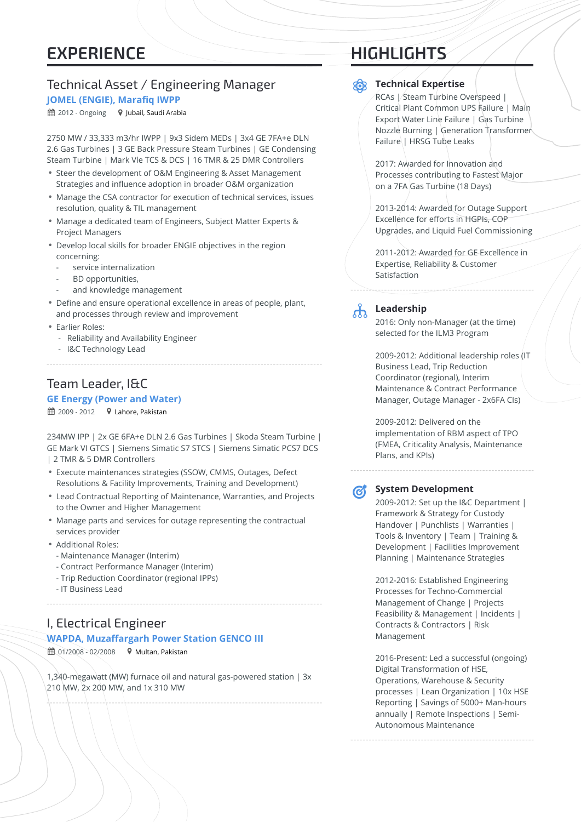# **EXPERIENCE**

### Technical Asset / Engineering Manager **JOMEL (ENGIE), Marafiq IWPP**

 $\hat{m}$  2012 - Ongoing  $\bullet$  Jubail, Saudi Arabia

2750 MW / 33,333 m3/hr IWPP | 9x3 Sidem MEDs | 3x4 GE 7FA+e DLN 2.6 Gas Turbines | 3 GE Back Pressure Steam Turbines | GE Condensing Steam Turbine | Mark Vle TCS & DCS | 16 TMR & 25 DMR Controllers

- Steer the development of O&M Engineering & Asset Management Strategies and influence adoption in broader O&M organization
- Manage the CSA contractor for execution of technical services, issues resolution, quality & TIL management
- Manage a dedicated team of Engineers, Subject Matter Experts & Project Managers
- Develop local skills for broader ENGIE objectives in the region concerning:
	- service internalization
	- BD opportunities,
	- and knowledge management
- Define and ensure operational excellence in areas of people, plant, and processes through review and improvement
- Earlier Roles:
	- Reliability and Availability Engineer
	- I&C Technology Lead

### Team Leader, I&C

#### **GE Energy (Power and Water)**

 $\hat{m}$  2009 - 2012  $\bullet$  Lahore, Pakistan

234MW IPP | 2x GE 6FA+e DLN 2.6 Gas Turbines | Skoda Steam Turbine | GE Mark VI GTCS | Siemens Simatic S7 STCS | Siemens Simatic PCS7 DCS | 2 TMR & 5 DMR Controllers

- Execute maintenances strategies (SSOW, CMMS, Outages, Defect Resolutions & Facility Improvements, Training and Development)
- Lead Contractual Reporting of Maintenance, Warranties, and Projects to the Owner and Higher Management
- Manage parts and services for outage representing the contractual services provider
- Additional Roles:
- Maintenance Manager (Interim)
- Contract Performance Manager (Interim)
- Trip Reduction Coordinator (regional IPPs)
- IT Business Lead

### I, Electrical Engineer **WAPDA, Muzaffargarh Power Station GENCO III**

 $\hat{m}$  01/2008 - 02/2008  $\bullet$  Multan, Pakistan

1,340-megawatt (MW) furnace oil and natural gas-powered station | 3x 210 MW, 2x 200 MW, and 1x 310 MW

# **HIGHLIGHTS**

### **Technical Expertise**

RCAs | Steam Turbine Overspeed | Critical Plant Common UPS Failure | Main Export Water Line Failure | Gas Turbine Nozzle Burning | Generation Transformer Failure | HRSG Tube Leaks

2017: Awarded for Innovation and Processes contributing to Fastest Major on a 7FA Gas Turbine (18 Days)

2013-2014: Awarded for Outage Support Excellence for efforts in HGPIs, COP Upgrades, and Liquid Fuel Commissioning

2011-2012: Awarded for GE Excellence in Expertise, Reliability & Customer Satisfaction

# $\mathbf{r}$

#### **Leadership**

2016: Only non-Manager (at the time) selected for the ILM3 Program

2009-2012: Additional leadership roles (IT Business Lead, Trip Reduction Coordinator (regional), Interim Maintenance & Contract Performance Manager, Outage Manager - 2x6FA CIs)

2009-2012: Delivered on the implementation of RBM aspect of TPO (FMEA, Criticality Analysis, Maintenance Plans, and KPIs)

**P** 

#### **System Development**

2009-2012: Set up the I&C Department | Framework & Strategy for Custody Handover | Punchlists | Warranties | Tools & Inventory | Team | Training & Development | Facilities Improvement Planning | Maintenance Strategies

2012-2016: Established Engineering Processes for Techno-Commercial Management of Change | Projects Feasibility & Management | Incidents | Contracts & Contractors | Risk Management

2016-Present: Led a successful (ongoing) Digital Transformation of HSE, Operations, Warehouse & Security processes | Lean Organization | 10x HSE Reporting | Savings of 5000+ Man-hours annually | Remote Inspections | Semi-Autonomous Maintenance